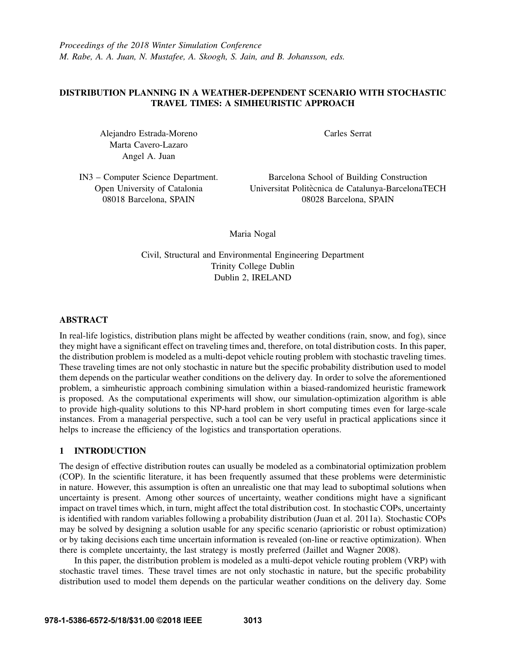*Proceedings of the 2018 Winter Simulation Conference M. Rabe, A. A. Juan, N. Mustafee, A. Skoogh, S. Jain, and B. Johansson, eds.*

# DISTRIBUTION PLANNING IN A WEATHER-DEPENDENT SCENARIO WITH STOCHASTIC TRAVEL TIMES: A SIMHEURISTIC APPROACH

Alejandro Estrada-Moreno Marta Cavero-Lazaro Angel A. Juan

Carles Serrat

IN3 – Computer Science Department. Open University of Catalonia 08018 Barcelona, SPAIN

Barcelona School of Building Construction Universitat Politècnica de Catalunya-BarcelonaTECH 08028 Barcelona, SPAIN

Maria Nogal

Civil, Structural and Environmental Engineering Department Trinity College Dublin Dublin 2, IRELAND

## ABSTRACT

In real-life logistics, distribution plans might be affected by weather conditions (rain, snow, and fog), since they might have a significant effect on traveling times and, therefore, on total distribution costs. In this paper, the distribution problem is modeled as a multi-depot vehicle routing problem with stochastic traveling times. These traveling times are not only stochastic in nature but the specific probability distribution used to model them depends on the particular weather conditions on the delivery day. In order to solve the aforementioned problem, a simheuristic approach combining simulation within a biased-randomized heuristic framework is proposed. As the computational experiments will show, our simulation-optimization algorithm is able to provide high-quality solutions to this NP-hard problem in short computing times even for large-scale instances. From a managerial perspective, such a tool can be very useful in practical applications since it helps to increase the efficiency of the logistics and transportation operations.

# 1 INTRODUCTION

The design of effective distribution routes can usually be modeled as a combinatorial optimization problem (COP). In the scientific literature, it has been frequently assumed that these problems were deterministic in nature. However, this assumption is often an unrealistic one that may lead to suboptimal solutions when uncertainty is present. Among other sources of uncertainty, weather conditions might have a significant impact on travel times which, in turn, might affect the total distribution cost. In stochastic COPs, uncertainty is identified with random variables following a probability distribution (Juan et al. 2011a). Stochastic COPs may be solved by designing a solution usable for any specific scenario (aprioristic or robust optimization) or by taking decisions each time uncertain information is revealed (on-line or reactive optimization). When there is complete uncertainty, the last strategy is mostly preferred (Jaillet and Wagner 2008).

In this paper, the distribution problem is modeled as a multi-depot vehicle routing problem (VRP) with stochastic travel times. These travel times are not only stochastic in nature, but the specific probability distribution used to model them depends on the particular weather conditions on the delivery day. Some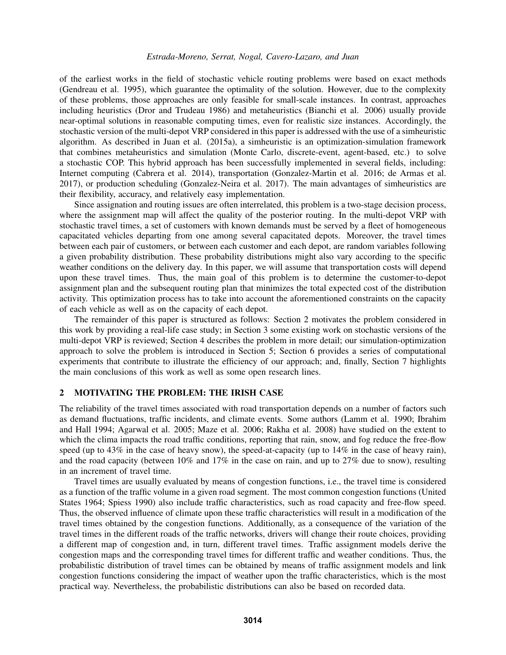of the earliest works in the field of stochastic vehicle routing problems were based on exact methods (Gendreau et al. 1995), which guarantee the optimality of the solution. However, due to the complexity of these problems, those approaches are only feasible for small-scale instances. In contrast, approaches including heuristics (Dror and Trudeau 1986) and metaheuristics (Bianchi et al. 2006) usually provide near-optimal solutions in reasonable computing times, even for realistic size instances. Accordingly, the stochastic version of the multi-depot VRP considered in this paper is addressed with the use of a simheuristic algorithm. As described in Juan et al. (2015a), a simheuristic is an optimization-simulation framework that combines metaheuristics and simulation (Monte Carlo, discrete-event, agent-based, etc.) to solve a stochastic COP. This hybrid approach has been successfully implemented in several fields, including: Internet computing (Cabrera et al. 2014), transportation (Gonzalez-Martin et al. 2016; de Armas et al. 2017), or production scheduling (Gonzalez-Neira et al. 2017). The main advantages of simheuristics are their flexibility, accuracy, and relatively easy implementation.

Since assignation and routing issues are often interrelated, this problem is a two-stage decision process, where the assignment map will affect the quality of the posterior routing. In the multi-depot VRP with stochastic travel times, a set of customers with known demands must be served by a fleet of homogeneous capacitated vehicles departing from one among several capacitated depots. Moreover, the travel times between each pair of customers, or between each customer and each depot, are random variables following a given probability distribution. These probability distributions might also vary according to the specific weather conditions on the delivery day. In this paper, we will assume that transportation costs will depend upon these travel times. Thus, the main goal of this problem is to determine the customer-to-depot assignment plan and the subsequent routing plan that minimizes the total expected cost of the distribution activity. This optimization process has to take into account the aforementioned constraints on the capacity of each vehicle as well as on the capacity of each depot.

The remainder of this paper is structured as follows: Section 2 motivates the problem considered in this work by providing a real-life case study; in Section 3 some existing work on stochastic versions of the multi-depot VRP is reviewed; Section 4 describes the problem in more detail; our simulation-optimization approach to solve the problem is introduced in Section 5; Section 6 provides a series of computational experiments that contribute to illustrate the efficiency of our approach; and, finally, Section 7 highlights the main conclusions of this work as well as some open research lines.

# 2 MOTIVATING THE PROBLEM: THE IRISH CASE

The reliability of the travel times associated with road transportation depends on a number of factors such as demand fluctuations, traffic incidents, and climate events. Some authors (Lamm et al. 1990; Ibrahim and Hall 1994; Agarwal et al. 2005; Maze et al. 2006; Rakha et al. 2008) have studied on the extent to which the clima impacts the road traffic conditions, reporting that rain, snow, and fog reduce the free-flow speed (up to 43% in the case of heavy snow), the speed-at-capacity (up to 14% in the case of heavy rain), and the road capacity (between 10% and 17% in the case on rain, and up to 27% due to snow), resulting in an increment of travel time.

Travel times are usually evaluated by means of congestion functions, i.e., the travel time is considered as a function of the traffic volume in a given road segment. The most common congestion functions (United States 1964; Spiess 1990) also include traffic characteristics, such as road capacity and free-flow speed. Thus, the observed influence of climate upon these traffic characteristics will result in a modification of the travel times obtained by the congestion functions. Additionally, as a consequence of the variation of the travel times in the different roads of the traffic networks, drivers will change their route choices, providing a different map of congestion and, in turn, different travel times. Traffic assignment models derive the congestion maps and the corresponding travel times for different traffic and weather conditions. Thus, the probabilistic distribution of travel times can be obtained by means of traffic assignment models and link congestion functions considering the impact of weather upon the traffic characteristics, which is the most practical way. Nevertheless, the probabilistic distributions can also be based on recorded data.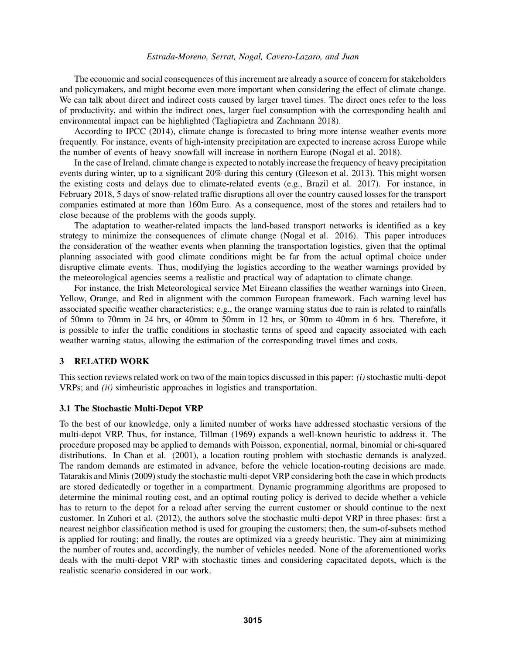The economic and social consequences of this increment are already a source of concern for stakeholders and policymakers, and might become even more important when considering the effect of climate change. We can talk about direct and indirect costs caused by larger travel times. The direct ones refer to the loss of productivity, and within the indirect ones, larger fuel consumption with the corresponding health and environmental impact can be highlighted (Tagliapietra and Zachmann 2018).

According to IPCC (2014), climate change is forecasted to bring more intense weather events more frequently. For instance, events of high-intensity precipitation are expected to increase across Europe while the number of events of heavy snowfall will increase in northern Europe (Nogal et al. 2018).

In the case of Ireland, climate change is expected to notably increase the frequency of heavy precipitation events during winter, up to a significant 20% during this century (Gleeson et al. 2013). This might worsen the existing costs and delays due to climate-related events (e.g., Brazil et al. 2017). For instance, in February 2018, 5 days of snow-related traffic disruptions all over the country caused losses for the transport companies estimated at more than 160m Euro. As a consequence, most of the stores and retailers had to close because of the problems with the goods supply.

The adaptation to weather-related impacts the land-based transport networks is identified as a key strategy to minimize the consequences of climate change (Nogal et al. 2016). This paper introduces the consideration of the weather events when planning the transportation logistics, given that the optimal planning associated with good climate conditions might be far from the actual optimal choice under disruptive climate events. Thus, modifying the logistics according to the weather warnings provided by the meteorological agencies seems a realistic and practical way of adaptation to climate change.

For instance, the Irish Meteorological service Met Eireann classifies the weather warnings into Green, Yellow, Orange, and Red in alignment with the common European framework. Each warning level has associated specific weather characteristics; e.g., the orange warning status due to rain is related to rainfalls of 50mm to 70mm in 24 hrs, or 40mm to 50mm in 12 hrs, or 30mm to 40mm in 6 hrs. Therefore, it is possible to infer the traffic conditions in stochastic terms of speed and capacity associated with each weather warning status, allowing the estimation of the corresponding travel times and costs.

# 3 RELATED WORK

This section reviews related work on two of the main topics discussed in this paper: *(i)* stochastic multi-depot VRPs; and *(ii)* simheuristic approaches in logistics and transportation.

#### 3.1 The Stochastic Multi-Depot VRP

To the best of our knowledge, only a limited number of works have addressed stochastic versions of the multi-depot VRP. Thus, for instance, Tillman (1969) expands a well-known heuristic to address it. The procedure proposed may be applied to demands with Poisson, exponential, normal, binomial or chi-squared distributions. In Chan et al. (2001), a location routing problem with stochastic demands is analyzed. The random demands are estimated in advance, before the vehicle location-routing decisions are made. Tatarakis and Minis (2009) study the stochastic multi-depot VRP considering both the case in which products are stored dedicatedly or together in a compartment. Dynamic programming algorithms are proposed to determine the minimal routing cost, and an optimal routing policy is derived to decide whether a vehicle has to return to the depot for a reload after serving the current customer or should continue to the next customer. In Zuhori et al. (2012), the authors solve the stochastic multi-depot VRP in three phases: first a nearest neighbor classification method is used for grouping the customers; then, the sum-of-subsets method is applied for routing; and finally, the routes are optimized via a greedy heuristic. They aim at minimizing the number of routes and, accordingly, the number of vehicles needed. None of the aforementioned works deals with the multi-depot VRP with stochastic times and considering capacitated depots, which is the realistic scenario considered in our work.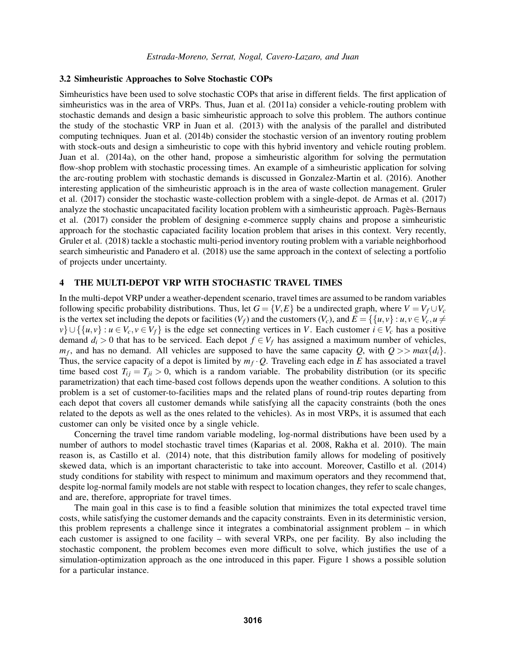#### 3.2 Simheuristic Approaches to Solve Stochastic COPs

Simheuristics have been used to solve stochastic COPs that arise in different fields. The first application of simheuristics was in the area of VRPs. Thus, Juan et al. (2011a) consider a vehicle-routing problem with stochastic demands and design a basic simheuristic approach to solve this problem. The authors continue the study of the stochastic VRP in Juan et al. (2013) with the analysis of the parallel and distributed computing techniques. Juan et al. (2014b) consider the stochastic version of an inventory routing problem with stock-outs and design a simheuristic to cope with this hybrid inventory and vehicle routing problem. Juan et al. (2014a), on the other hand, propose a simheuristic algorithm for solving the permutation flow-shop problem with stochastic processing times. An example of a simheuristic application for solving the arc-routing problem with stochastic demands is discussed in Gonzalez-Martin et al. (2016). Another interesting application of the simheuristic approach is in the area of waste collection management. Gruler et al. (2017) consider the stochastic waste-collection problem with a single-depot. de Armas et al. (2017) analyze the stochastic uncapacitated facility location problem with a simheuristic approach. Pages-Bernaus ` et al. (2017) consider the problem of designing e-commerce supply chains and propose a simheuristic approach for the stochastic capaciated facility location problem that arises in this context. Very recently, Gruler et al. (2018) tackle a stochastic multi-period inventory routing problem with a variable neighborhood search simheuristic and Panadero et al. (2018) use the same approach in the context of selecting a portfolio of projects under uncertainty.

# 4 THE MULTI-DEPOT VRP WITH STOCHASTIC TRAVEL TIMES

In the multi-depot VRP under a weather-dependent scenario, travel times are assumed to be random variables following specific probability distributions. Thus, let  $G = \{V, E\}$  be a undirected graph, where  $V = V_f \cup V_c$ is the vertex set including the depots or facilities  $(V_f)$  and the customers  $(V_c)$ , and  $E = \{\{u, v\} : u, v \in V_c, u \neq 0\}$  $v\} \cup \{\{u, v\} : u \in V_c, v \in V_f\}$  is the edge set connecting vertices in *V*. Each customer  $i \in V_c$  has a positive demand  $d_i > 0$  that has to be serviced. Each depot  $f \in V_f$  has assigned a maximum number of vehicles,  $m_f$ , and has no demand. All vehicles are supposed to have the same capacity *Q*, with  $Q \gg max\{d_i\}$ . Thus, the service capacity of a depot is limited by  $m_f \cdot Q$ . Traveling each edge in *E* has associated a travel time based cost  $T_{ij} = T_{ji} > 0$ , which is a random variable. The probability distribution (or its specific parametrization) that each time-based cost follows depends upon the weather conditions. A solution to this problem is a set of customer-to-facilities maps and the related plans of round-trip routes departing from each depot that covers all customer demands while satisfying all the capacity constraints (both the ones related to the depots as well as the ones related to the vehicles). As in most VRPs, it is assumed that each customer can only be visited once by a single vehicle.

Concerning the travel time random variable modeling, log-normal distributions have been used by a number of authors to model stochastic travel times (Kaparias et al. 2008, Rakha et al. 2010). The main reason is, as Castillo et al. (2014) note, that this distribution family allows for modeling of positively skewed data, which is an important characteristic to take into account. Moreover, Castillo et al. (2014) study conditions for stability with respect to minimum and maximum operators and they recommend that, despite log-normal family models are not stable with respect to location changes, they refer to scale changes, and are, therefore, appropriate for travel times.

The main goal in this case is to find a feasible solution that minimizes the total expected travel time costs, while satisfying the customer demands and the capacity constraints. Even in its deterministic version, this problem represents a challenge since it integrates a combinatorial assignment problem – in which each customer is assigned to one facility – with several VRPs, one per facility. By also including the stochastic component, the problem becomes even more difficult to solve, which justifies the use of a simulation-optimization approach as the one introduced in this paper. Figure 1 shows a possible solution for a particular instance.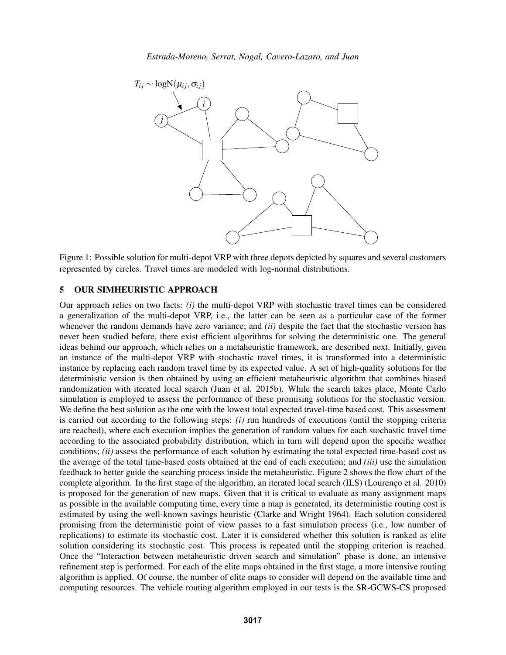

Figure 1: Possible solution for multi-depot VRP with three depots depicted by squares and several customers represented by circles. Travel times are modeled with log-normal distributions.

# 5 OUR SIMHEURISTIC APPROACH

Our approach relies on two facts: *(i)* the multi-depot VRP with stochastic travel times can be considered a generalization of the multi-depot VRP, i.e., the latter can be seen as a particular case of the former whenever the random demands have zero variance; and *(ii)* despite the fact that the stochastic version has never been studied before, there exist efficient algorithms for solving the deterministic one. The general ideas behind our approach, which relies on a metaheuristic framework, are described next. Initially, given an instance of the multi-depot VRP with stochastic travel times, it is transformed into a deterministic instance by replacing each random travel time by its expected value. A set of high-quality solutions for the deterministic version is then obtained by using an efficient metaheuristic algorithm that combines biased randomization with iterated local search (Juan et al. 2015b). While the search takes place, Monte Carlo simulation is employed to assess the performance of these promising solutions for the stochastic version. We define the best solution as the one with the lowest total expected travel-time based cost. This assessment is carried out according to the following steps: *(i)* run hundreds of executions (until the stopping criteria are reached), where each execution implies the generation of random values for each stochastic travel time according to the associated probability distribution, which in turn will depend upon the specific weather conditions; *(ii)* assess the performance of each solution by estimating the total expected time-based cost as the average of the total time-based costs obtained at the end of each execution; and *(iii)* use the simulation feedback to better guide the searching process inside the metaheuristic. Figure 2 shows the flow chart of the complete algorithm. In the first stage of the algorithm, an iterated local search (ILS) (Lourenco et al. 2010) is proposed for the generation of new maps. Given that it is critical to evaluate as many assignment maps as possible in the available computing time, every time a map is generated, its deterministic routing cost is estimated by using the well-known savings heuristic (Clarke and Wright 1964). Each solution considered promising from the deterministic point of view passes to a fast simulation process (i.e., low number of replications) to estimate its stochastic cost. Later it is considered whether this solution is ranked as elite solution considering its stochastic cost. This process is repeated until the stopping criterion is reached. Once the "Interaction between metaheuristic driven search and simulation" phase is done, an intensive refinement step is performed. For each of the elite maps obtained in the first stage, a more intensive routing algorithm is applied. Of course, the number of elite maps to consider will depend on the available time and computing resources. The vehicle routing algorithm employed in our tests is the SR-GCWS-CS proposed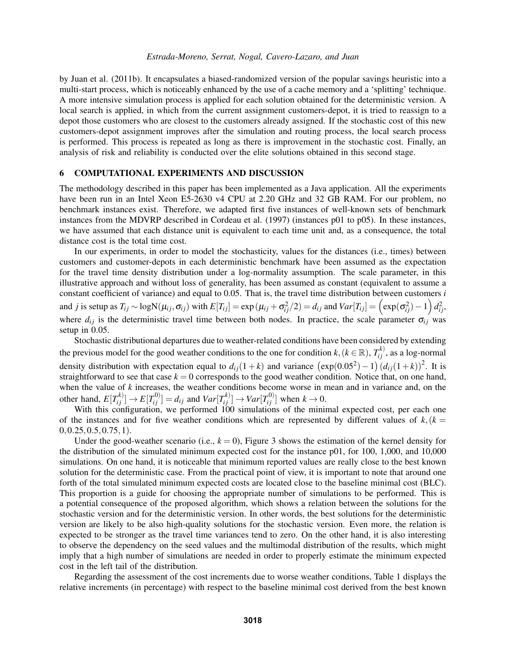by Juan et al. (2011b). It encapsulates a biased-randomized version of the popular savings heuristic into a multi-start process, which is noticeably enhanced by the use of a cache memory and a 'splitting' technique. A more intensive simulation process is applied for each solution obtained for the deterministic version. A local search is applied, in which from the current assignment customers-depot, it is tried to reassign to a depot those customers who are closest to the customers already assigned. If the stochastic cost of this new customers-depot assignment improves after the simulation and routing process, the local search process is performed. This process is repeated as long as there is improvement in the stochastic cost. Finally, an analysis of risk and reliability is conducted over the elite solutions obtained in this second stage.

# 6 COMPUTATIONAL EXPERIMENTS AND DISCUSSION

The methodology described in this paper has been implemented as a Java application. All the experiments have been run in an Intel Xeon E5-2630 v4 CPU at 2.20 GHz and 32 GB RAM. For our problem, no benchmark instances exist. Therefore, we adapted first five instances of well-known sets of benchmark instances from the MDVRP described in Cordeau et al. (1997) (instances p01 to p05). In these instances, we have assumed that each distance unit is equivalent to each time unit and, as a consequence, the total distance cost is the total time cost.

In our experiments, in order to model the stochasticity, values for the distances (i.e., times) between customers and customer-depots in each deterministic benchmark have been assumed as the expectation for the travel time density distribution under a log-normality assumption. The scale parameter, in this illustrative approach and without loss of generality, has been assumed as constant (equivalent to assume a constant coefficient of variance) and equal to 0.05. That is, the travel time distribution between customers *i* and *j* is setup as  $T_{ij} \sim \log N(\mu_{ij}, \sigma_{ij})$  with  $E[T_{ij}] = \exp(\mu_{ij} + \sigma_{ij}^2/2) = d_{ij}$  and  $Var[T_{ij}] = (\exp(\sigma_{ij}^2) - 1) d_{ij}^2$ , where  $d_{ij}$  is the deterministic travel time between both nodes. In practice, the scale parameter  $\sigma_{ij}$  was setup in 0.05.

Stochastic distributional departures due to weather-related conditions have been considered by extending the previous model for the good weather conditions to the one for condition  $k, (k \in \mathbb{R})$ ,  $T_{ij}^{k}$ , as a log-normal density distribution with expectation equal to  $d_{ij}(1+k)$  and variance  $(\exp(0.05^2) - 1) (d_{ij}(1+k))^2$ . It is straightforward to see that case  $k = 0$  corresponds to the good weather condition. Notice that, on one hand, when the value of *k* increases, the weather conditions become worse in mean and in variance and, on the other hand,  $E[T_{ij}^{(k)}] \rightarrow E[T_{ij}^{(0)}] = d_{ij}$  and  $Var[T_{ij}^{(k)}] \rightarrow Var[T_{ij}^{(0)}]$  when  $k \rightarrow 0$ .

With this configuration, we performed 100 simulations of the minimal expected cost, per each one of the instances and for five weather conditions which are represented by different values of  $k,(k = 1, 2)$  $0, 0.25, 0.5, 0.75, 1$ .

Under the good-weather scenario (i.e.,  $k = 0$ ), Figure 3 shows the estimation of the kernel density for the distribution of the simulated minimum expected cost for the instance p01, for 100, 1,000, and 10,000 simulations. On one hand, it is noticeable that minimum reported values are really close to the best known solution for the deterministic case. From the practical point of view, it is important to note that around one forth of the total simulated minimum expected costs are located close to the baseline minimal cost (BLC). This proportion is a guide for choosing the appropriate number of simulations to be performed. This is a potential consequence of the proposed algorithm, which shows a relation between the solutions for the stochastic version and for the deterministic version. In other words, the best solutions for the deterministic version are likely to be also high-quality solutions for the stochastic version. Even more, the relation is expected to be stronger as the travel time variances tend to zero. On the other hand, it is also interesting to observe the dependency on the seed values and the multimodal distribution of the results, which might imply that a high number of simulations are needed in order to properly estimate the minimum expected cost in the left tail of the distribution.

Regarding the assessment of the cost increments due to worse weather conditions, Table 1 displays the relative increments (in percentage) with respect to the baseline minimal cost derived from the best known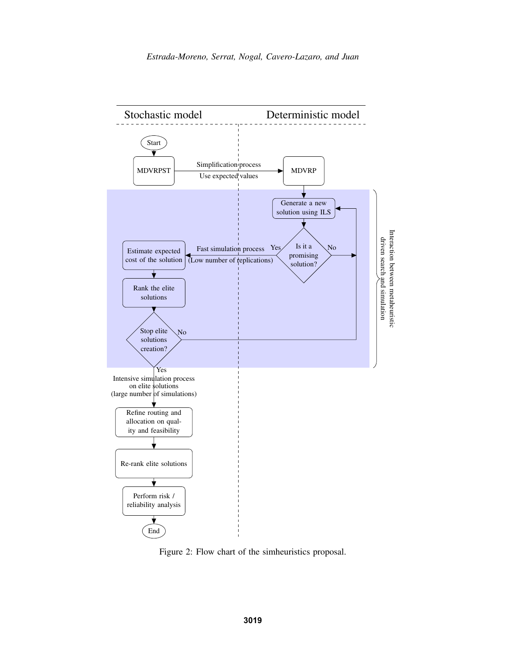

Figure 2: Flow chart of the simheuristics proposal.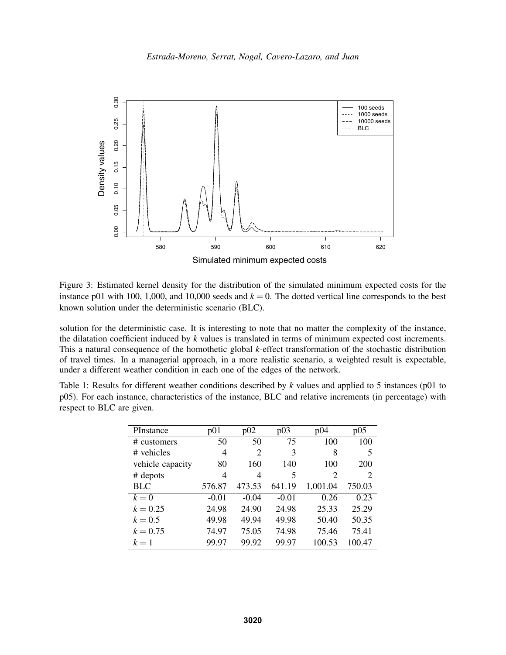

Figure 3: Estimated kernel density for the distribution of the simulated minimum expected costs for the instance p01 with 100, 1,000, and 10,000 seeds and  $k = 0$ . The dotted vertical line corresponds to the best known solution under the deterministic scenario (BLC).

solution for the deterministic case. It is interesting to note that no matter the complexity of the instance, the dilatation coefficient induced by *k* values is translated in terms of minimum expected cost increments. This a natural consequence of the homothetic global *k*-effect transformation of the stochastic distribution of travel times. In a managerial approach, in a more realistic scenario, a weighted result is expectable, under a different weather condition in each one of the edges of the network.

|  |                           | Table 1: Results for different weather conditions described by k values and applied to 5 instances (p01 to |  |  |  |  |  |  |
|--|---------------------------|------------------------------------------------------------------------------------------------------------|--|--|--|--|--|--|
|  |                           | p05). For each instance, characteristics of the instance, BLC and relative increments (in percentage) with |  |  |  |  |  |  |
|  | respect to BLC are given. |                                                                                                            |  |  |  |  |  |  |

| PInstance        | p01     | p02     | p03     | p04      | p05    |
|------------------|---------|---------|---------|----------|--------|
| # customers      | 50      | 50      | 75      | 100      | 100    |
| # vehicles       | 4       | 2       | 3       | 8        | 5      |
| vehicle capacity | 80      | 160     | 140     | 100      | 200    |
| # depots         | 4       | 4       | 5       | 2        | 2      |
| <b>BLC</b>       | 576.87  | 473.53  | 641.19  | 1,001.04 | 750.03 |
| $k=0$            | $-0.01$ | $-0.04$ | $-0.01$ | 0.26     | 0.23   |
| $k = 0.25$       | 24.98   | 24.90   | 24.98   | 25.33    | 25.29  |
| $k = 0.5$        | 49.98   | 49.94   | 49.98   | 50.40    | 50.35  |
| $k = 0.75$       | 74.97   | 75.05   | 74.98   | 75.46    | 75.41  |
| $k=1$            | 99.97   | 99.92   | 99.97   | 100.53   | 100.47 |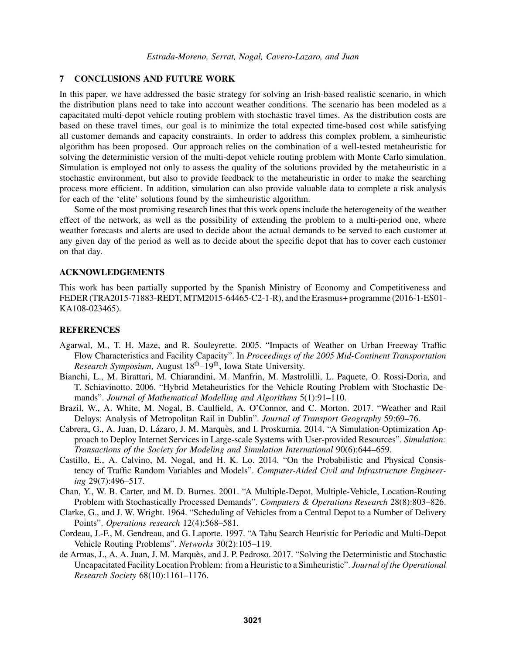#### 7 CONCLUSIONS AND FUTURE WORK

In this paper, we have addressed the basic strategy for solving an Irish-based realistic scenario, in which the distribution plans need to take into account weather conditions. The scenario has been modeled as a capacitated multi-depot vehicle routing problem with stochastic travel times. As the distribution costs are based on these travel times, our goal is to minimize the total expected time-based cost while satisfying all customer demands and capacity constraints. In order to address this complex problem, a simheuristic algorithm has been proposed. Our approach relies on the combination of a well-tested metaheuristic for solving the deterministic version of the multi-depot vehicle routing problem with Monte Carlo simulation. Simulation is employed not only to assess the quality of the solutions provided by the metaheuristic in a stochastic environment, but also to provide feedback to the metaheuristic in order to make the searching process more efficient. In addition, simulation can also provide valuable data to complete a risk analysis for each of the 'elite' solutions found by the simheuristic algorithm.

Some of the most promising research lines that this work opens include the heterogeneity of the weather effect of the network, as well as the possibility of extending the problem to a multi-period one, where weather forecasts and alerts are used to decide about the actual demands to be served to each customer at any given day of the period as well as to decide about the specific depot that has to cover each customer on that day.

## ACKNOWLEDGEMENTS

This work has been partially supported by the Spanish Ministry of Economy and Competitiveness and FEDER (TRA2015-71883-REDT,MTM2015-64465-C2-1-R), and the Erasmus+ programme (2016-1-ES01- KA108-023465).

#### **REFERENCES**

- Agarwal, M., T. H. Maze, and R. Souleyrette. 2005. "Impacts of Weather on Urban Freeway Traffic Flow Characteristics and Facility Capacity". In *Proceedings of the 2005 Mid-Continent Transportation Research Symposium*, August 18<sup>th</sup>–19<sup>th</sup>, Iowa State University.
- Bianchi, L., M. Birattari, M. Chiarandini, M. Manfrin, M. Mastrolilli, L. Paquete, O. Rossi-Doria, and T. Schiavinotto. 2006. "Hybrid Metaheuristics for the Vehicle Routing Problem with Stochastic Demands". *Journal of Mathematical Modelling and Algorithms* 5(1):91–110.
- Brazil, W., A. White, M. Nogal, B. Caulfield, A. O'Connor, and C. Morton. 2017. "Weather and Rail Delays: Analysis of Metropolitan Rail in Dublin". *Journal of Transport Geography* 59:69–76.
- Cabrera, G., A. Juan, D. Lázaro, J. M. Marquès, and I. Proskurnia. 2014. "A Simulation-Optimization Approach to Deploy Internet Services in Large-scale Systems with User-provided Resources". *Simulation: Transactions of the Society for Modeling and Simulation International* 90(6):644–659.
- Castillo, E., A. Calvino, M. Nogal, and H. K. Lo. 2014. "On the Probabilistic and Physical Consistency of Traffic Random Variables and Models". *Computer-Aided Civil and Infrastructure Engineering* 29(7):496–517.
- Chan, Y., W. B. Carter, and M. D. Burnes. 2001. "A Multiple-Depot, Multiple-Vehicle, Location-Routing Problem with Stochastically Processed Demands". *Computers & Operations Research* 28(8):803–826.
- Clarke, G., and J. W. Wright. 1964. "Scheduling of Vehicles from a Central Depot to a Number of Delivery Points". *Operations research* 12(4):568–581.
- Cordeau, J.-F., M. Gendreau, and G. Laporte. 1997. "A Tabu Search Heuristic for Periodic and Multi-Depot Vehicle Routing Problems". *Networks* 30(2):105–119.
- de Armas, J., A. A. Juan, J. M. Marquès, and J. P. Pedroso. 2017. "Solving the Deterministic and Stochastic Uncapacitated Facility Location Problem: from a Heuristic to a Simheuristic". *Journal of the Operational Research Society* 68(10):1161–1176.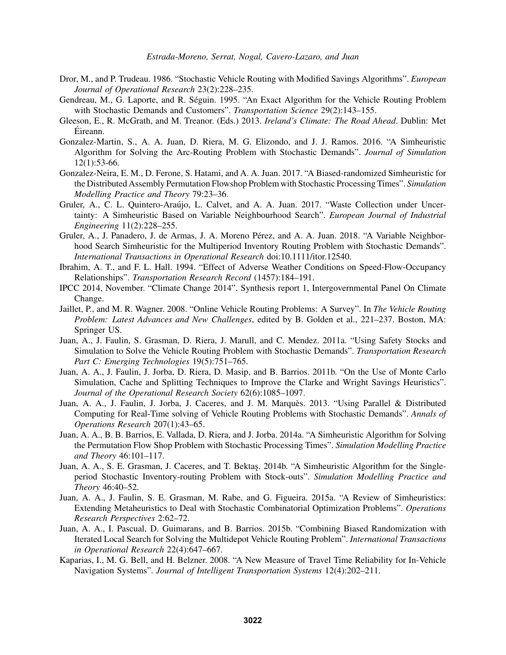- Dror, M., and P. Trudeau. 1986. "Stochastic Vehicle Routing with Modified Savings Algorithms". *European Journal of Operational Research* 23(2):228–235.
- Gendreau, M., G. Laporte, and R. Séguin. 1995. "An Exact Algorithm for the Vehicle Routing Problem with Stochastic Demands and Customers". *Transportation Science* 29(2):143–155.
- Gleeson, E., R. McGrath, and M. Treanor. (Eds.) 2013. *Ireland's Climate: The Road Ahead*. Dublin: Met Eireann. ´
- Gonzalez-Martin, S., A. A. Juan, D. Riera, M. G. Elizondo, and J. J. Ramos. 2016. "A Simheuristic Algorithm for Solving the Arc-Routing Problem with Stochastic Demands". *Journal of Simulation* 12(1):53-66.
- Gonzalez-Neira, E. M., D. Ferone, S. Hatami, and A. A. Juan. 2017. "A Biased-randomized Simheuristic for the Distributed Assembly Permutation Flowshop Problem with Stochastic Processing Times". *Simulation Modelling Practice and Theory* 79:23–36.
- Gruler, A., C. L. Quintero-Araújo, L. Calvet, and A. A. Juan. 2017. "Waste Collection under Uncertainty: A Simheuristic Based on Variable Neighbourhood Search". *European Journal of Industrial Engineering* 11(2):228–255.
- Gruler, A., J. Panadero, J. de Armas, J. A. Moreno Pérez, and A. A. Juan. 2018. "A Variable Neighborhood Search Simheuristic for the Multiperiod Inventory Routing Problem with Stochastic Demands". *International Transactions in Operational Research* doi:10.1111/itor.12540.
- Ibrahim, A. T., and F. L. Hall. 1994. "Effect of Adverse Weather Conditions on Speed-Flow-Occupancy Relationships". *Transportation Research Record* (1457):184–191.
- IPCC 2014, November. "Climate Change 2014". Synthesis report 1, Intergovernmental Panel On Climate Change.
- Jaillet, P., and M. R. Wagner. 2008. "Online Vehicle Routing Problems: A Survey". In *The Vehicle Routing Problem: Latest Advances and New Challenges*, edited by B. Golden et al., 221–237. Boston, MA: Springer US.
- Juan, A., J. Faulin, S. Grasman, D. Riera, J. Marull, and C. Mendez. 2011a. "Using Safety Stocks and Simulation to Solve the Vehicle Routing Problem with Stochastic Demands". *Transportation Research Part C: Emerging Technologies* 19(5):751–765.
- Juan, A. A., J. Faulin, J. Jorba, D. Riera, D. Masip, and B. Barrios. 2011b. "On the Use of Monte Carlo Simulation, Cache and Splitting Techniques to Improve the Clarke and Wright Savings Heuristics". *Journal of the Operational Research Society* 62(6):1085–1097.
- Juan, A. A., J. Faulin, J. Jorba, J. Caceres, and J. M. Marques. 2013. "Using Parallel & Distributed ` Computing for Real-Time solving of Vehicle Routing Problems with Stochastic Demands". *Annals of Operations Research* 207(1):43–65.
- Juan, A. A., B. B. Barrios, E. Vallada, D. Riera, and J. Jorba. 2014a. "A Simheuristic Algorithm for Solving the Permutation Flow Shop Problem with Stochastic Processing Times". *Simulation Modelling Practice and Theory* 46:101–117.
- Juan, A. A., S. E. Grasman, J. Caceres, and T. Bektas. 2014b. "A Simheuristic Algorithm for the Singleperiod Stochastic Inventory-routing Problem with Stock-outs". *Simulation Modelling Practice and Theory* 46:40–52.
- Juan, A. A., J. Faulin, S. E. Grasman, M. Rabe, and G. Figueira. 2015a. "A Review of Simheuristics: Extending Metaheuristics to Deal with Stochastic Combinatorial Optimization Problems". *Operations Research Perspectives* 2:62–72.
- Juan, A. A., I. Pascual, D. Guimarans, and B. Barrios. 2015b. "Combining Biased Randomization with Iterated Local Search for Solving the Multidepot Vehicle Routing Problem". *International Transactions in Operational Research* 22(4):647–667.
- Kaparias, I., M. G. Bell, and H. Belzner. 2008. "A New Measure of Travel Time Reliability for In-Vehicle Navigation Systems". *Journal of Intelligent Transportation Systems* 12(4):202–211.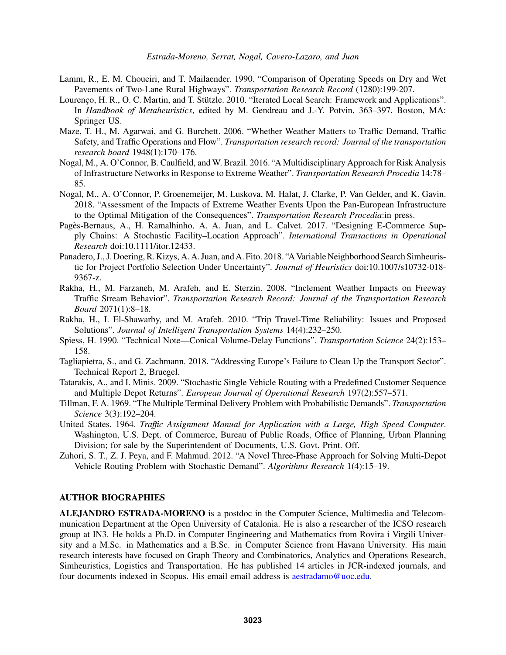- Lamm, R., E. M. Choueiri, and T. Mailaender. 1990. "Comparison of Operating Speeds on Dry and Wet Pavements of Two-Lane Rural Highways". *Transportation Research Record* (1280):199-207.
- Lourenço, H. R., O. C. Martin, and T. Stützle. 2010. "Iterated Local Search: Framework and Applications". In *Handbook of Metaheuristics*, edited by M. Gendreau and J.-Y. Potvin, 363–397. Boston, MA: Springer US.
- Maze, T. H., M. Agarwai, and G. Burchett. 2006. "Whether Weather Matters to Traffic Demand, Traffic Safety, and Traffic Operations and Flow". *Transportation research record: Journal of the transportation research board* 1948(1):170–176.
- Nogal, M., A. O'Connor, B. Caulfield, and W. Brazil. 2016. "A Multidisciplinary Approach for Risk Analysis of Infrastructure Networks in Response to Extreme Weather". *Transportation Research Procedia* 14:78– 85.
- Nogal, M., A. O'Connor, P. Groenemeijer, M. Luskova, M. Halat, J. Clarke, P. Van Gelder, and K. Gavin. 2018. "Assessment of the Impacts of Extreme Weather Events Upon the Pan-European Infrastructure to the Optimal Mitigation of the Consequences". *Transportation Research Procedia*:in press.
- Pagès-Bernaus, A., H. Ramalhinho, A. A. Juan, and L. Calvet. 2017. "Designing E-Commerce Supply Chains: A Stochastic Facility–Location Approach". *International Transactions in Operational Research* doi:10.1111/itor.12433.
- Panadero, J., J. Doering, R. Kizys, A. A. Juan, and A. Fito. 2018. "A Variable Neighborhood Search Simheuristic for Project Portfolio Selection Under Uncertainty". *Journal of Heuristics* doi:10.1007/s10732-018- 9367-z.
- Rakha, H., M. Farzaneh, M. Arafeh, and E. Sterzin. 2008. "Inclement Weather Impacts on Freeway Traffic Stream Behavior". *Transportation Research Record: Journal of the Transportation Research Board* 2071(1):8–18.
- Rakha, H., I. El-Shawarby, and M. Arafeh. 2010. "Trip Travel-Time Reliability: Issues and Proposed Solutions". *Journal of Intelligent Transportation Systems* 14(4):232–250.
- Spiess, H. 1990. "Technical Note—Conical Volume-Delay Functions". *Transportation Science* 24(2):153– 158.
- Tagliapietra, S., and G. Zachmann. 2018. "Addressing Europe's Failure to Clean Up the Transport Sector". Technical Report 2, Bruegel.
- Tatarakis, A., and I. Minis. 2009. "Stochastic Single Vehicle Routing with a Predefined Customer Sequence and Multiple Depot Returns". *European Journal of Operational Research* 197(2):557–571.
- Tillman, F. A. 1969. "The Multiple Terminal Delivery Problem with Probabilistic Demands". *Transportation Science* 3(3):192–204.
- United States. 1964. *Traffic Assignment Manual for Application with a Large, High Speed Computer*. Washington, U.S. Dept. of Commerce, Bureau of Public Roads, Office of Planning, Urban Planning Division; for sale by the Superintendent of Documents, U.S. Govt. Print. Off.
- Zuhori, S. T., Z. J. Peya, and F. Mahmud. 2012. "A Novel Three-Phase Approach for Solving Multi-Depot Vehicle Routing Problem with Stochastic Demand". *Algorithms Research* 1(4):15–19.

## AUTHOR BIOGRAPHIES

ALEJANDRO ESTRADA-MORENO is a postdoc in the Computer Science, Multimedia and Telecommunication Department at the Open University of Catalonia. He is also a researcher of the ICSO research group at IN3. He holds a Ph.D. in Computer Engineering and Mathematics from Rovira i Virgili University and a M.Sc. in Mathematics and a B.Sc. in Computer Science from Havana University. His main research interests have focused on Graph Theory and Combinatorics, Analytics and Operations Research, Simheuristics, Logistics and Transportation. He has published 14 articles in JCR-indexed journals, and four documents indexed in Scopus. His email email address is aestradamo@uoc.edu.